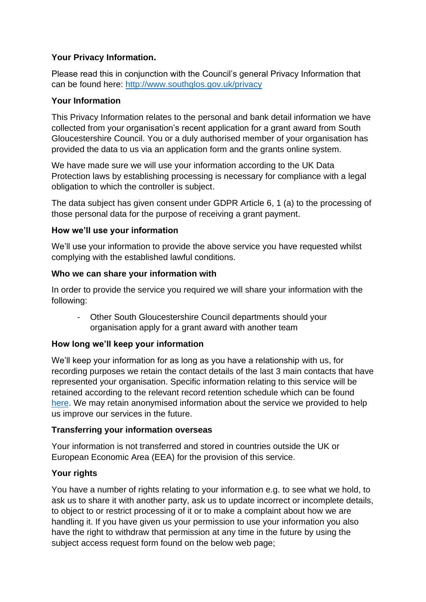# **Your Privacy Information.**

Please read this in conjunction with the Council's general Privacy Information that can be found here:<http://www.southglos.gov.uk/privacy>

## **Your Information**

This Privacy Information relates to the personal and bank detail information we have collected from your organisation's recent application for a grant award from South Gloucestershire Council. You or a duly authorised member of your organisation has provided the data to us via an application form and the grants online system.

We have made sure we will use your information according to the UK Data Protection laws by establishing processing is necessary for compliance with a legal obligation to which the controller is subject.

The data subject has given consent under GDPR Article 6, 1 (a) to the processing of those personal data for the purpose of receiving a grant payment.

## **How we'll use your information**

We'll use your information to provide the above service you have requested whilst complying with the established lawful conditions.

## **Who we can share your information with**

In order to provide the service you required we will share your information with the following:

- Other South Gloucestershire Council departments should your organisation apply for a grant award with another team

## **How long we'll keep your information**

We'll keep your information for as long as you have a relationship with us, for recording purposes we retain the contact details of the last 3 main contacts that have represented your organisation. Specific information relating to this service will be retained according to the relevant record retention schedule which can be found [here.](https://www.southglos.gov.uk/documents/Finance-RRS.pdf) We may retain anonymised information about the service we provided to help us improve our services in the future.

## **Transferring your information overseas**

Your information is not transferred and stored in countries outside the UK or European Economic Area (EEA) for the provision of this service.

## **Your rights**

You have a number of rights relating to your information e.g. to see what we hold, to ask us to share it with another party, ask us to update incorrect or incomplete details, to object to or restrict processing of it or to make a complaint about how we are handling it. If you have given us your permission to use your information you also have the right to withdraw that permission at any time in the future by using the subject access request form found on the below web page;